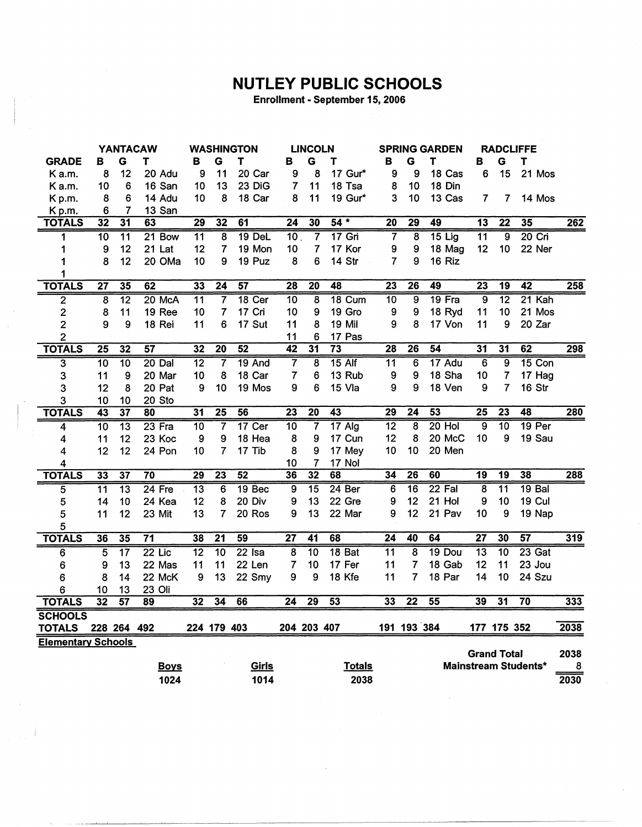## **NUTLEY PUBLIC SCHOOLS**

Enrollment - September 15, 2006

|                           | <b>YANTACAW</b> |                 | <b>WASHINGTON</b> |                 | <b>LINCOLN</b>  |                   |                 | <b>SPRING GARDEN</b>    |                   | <b>RADCLIFFE</b> |                  |          |                         |                    |                             |      |
|---------------------------|-----------------|-----------------|-------------------|-----------------|-----------------|-------------------|-----------------|-------------------------|-------------------|------------------|------------------|----------|-------------------------|--------------------|-----------------------------|------|
| <b>GRADE</b>              | в               | G               | т                 | в               | G               | T                 | в               | G                       | т                 | в                | G                | Τ        | в                       | G                  | $\mathbf T$                 |      |
| K a.m.                    | 8               | 12              | 20 Adu            | 9               | 11              | 20 Car            | 9               | 8                       | 17 Gur*           | 9                | 9                | 18 Cas   | 6                       | 15                 | 21 Mos                      |      |
| Ka.m.                     | 10              | 6               | 16 San            | 10              | 13              | 23 DiG            | 7               | 11                      | 18 Tsa            | 8                | 10               | 18 Din   |                         |                    |                             |      |
| Kp.m.                     | 8               | 6               | 14 Adu            | 10              | 8               | 18 Car            | 8               | 11                      | 19 Gur*           | 3                | 10               | 13 Cas   | $\overline{\mathbf{r}}$ | $\overline{7}$     | 14 Mos                      |      |
| Kp.m.                     | 6               | 7               | 13 San            |                 |                 |                   |                 |                         |                   |                  |                  |          |                         |                    |                             |      |
| <b>TOTALS</b>             | 32              | $\overline{31}$ | 63                | $\overline{29}$ | 32              | 61                | $\overline{24}$ | 30                      | $54*$             | $\overline{20}$  | $\overline{29}$  | 49       | $\overline{13}$         | $\overline{22}$    | 35                          | 262  |
| 1                         | $\overline{10}$ | 11              | $21$ Bow          | 11              | $\overline{8}$  | 19 DeL            | 10 <sub>1</sub> | 7                       | $17$ Gri          | $\overline{7}$   | 8                | $15$ Lig | $\overline{11}$         | 9                  | $20$ Cri                    |      |
| 1                         | 9               | 12              | 21 Lat            | 12              | $\overline{7}$  | 19 Mon            | 10              | $\overline{7}$          | 17 Kor            | 9                | 9                | 18 Mag   | 12                      | 10                 | 22 Ner                      |      |
| 1                         | 8               | 12              | 20 OMa            | 10              | 9               | 19 Puz            | 8               | 6                       | 14 Str            | 7                | 9                | 16 Riz   |                         |                    |                             |      |
| 1                         |                 |                 |                   |                 |                 |                   |                 |                         |                   |                  |                  |          |                         |                    |                             |      |
| <b>TOTALS</b>             | $\overline{27}$ | $\overline{35}$ | 62                | 33              | $\overline{24}$ | $\overline{57}$   | 28              | $\overline{20}$         | 48                | $\overline{23}$  | $\overline{26}$  | 49       | $\overline{23}$         | $\overline{19}$    | 42                          | 258  |
| $\overline{2}$            | 8               | $\overline{12}$ | 20 McA            | $\overline{11}$ | $\overline{7}$  | 18 Cer            | $\overline{10}$ | $\overline{8}$          | 18 Cum            | $\overline{10}$  | $\overline{9}$   | 19 Fra   | ब्र                     | $\overline{12}$    | 21 Kah                      |      |
| $\overline{\mathbf{c}}$   | 8               | 11              | 19 Ree            | 10              | $\overline{7}$  | 17 Cri            | 10              | 9                       | 19 Gro            | 9                | $\boldsymbol{9}$ | 18 Ryd   | 11                      | 10                 | 21 Mos                      |      |
| 2                         | 9               | 9               | 18 Rei            | 11              | 6               | 17 Sut            | 11              | 8                       | 19 Mil            | 9                | 8                | 17 Von   | 11                      | 9                  | 20 Zar                      |      |
| $\overline{2}$            |                 |                 |                   |                 |                 |                   | 11              | 6                       | 17 Pas            |                  |                  |          |                         |                    |                             |      |
| <b>TOTALS</b>             | $\overline{25}$ | 32              | $\overline{57}$   | $\overline{32}$ | $\overline{20}$ | 52                | $\overline{42}$ | $\overline{31}$         | $\overline{73}$   | 28               | $\overline{26}$  | 54       | $\overline{31}$         | $\overline{31}$    | 62                          | 298  |
| $\overline{\mathbf{3}}$   | $\overline{10}$ | $\overline{10}$ | $20$ Dal          | $\overline{12}$ | $\overline{7}$  | 19 And            | 7               | $\overline{\mathbf{8}}$ | $15$ Alf          | $\overline{11}$  | $\overline{6}$   | 17 Adu   | $\overline{6}$          | $\overline{9}$     | 15 Con                      |      |
| 3                         | 11              | 9               | 20 Mar            | 10              | 8               | 18 Car            | 7               | 6                       | 13 Rub            | 9                | 9                | 18 Sha   | 10                      | 7                  | 17 Hag                      |      |
| 3                         | 12              | 8               | 20 Pat            | 9               | 10              | 19 Mos            | 9               | 6                       | 15 Vla            | 9                | 9                | 18 Ven   | 9                       | 7                  | 16 Str                      |      |
| 3                         | 10              | 10              | 20 Sto            |                 |                 |                   |                 |                         |                   |                  |                  |          |                         |                    |                             |      |
| <b>TOTALS</b>             | $\overline{43}$ | $\overline{37}$ | 80                | $\overline{31}$ | $\overline{25}$ | $\overline{56}$   | $\overline{23}$ | $\overline{20}$         | 43                | 29               | 24               | 53       | $\overline{25}$         | $\overline{23}$    | 48                          | 280  |
| 4                         | $\overline{10}$ | $\overline{13}$ | $23$ Fra          | $\overline{10}$ | 7               | 17 Cer            | $\overline{10}$ | 7                       | $17$ Alg          | $\overline{12}$  | 8                | $20$ Hol | $\overline{9}$          | $\overline{10}$    | 19 Per                      |      |
| 4                         | 11              | 12              | 23 Koc            | 9               | 9               | 18 Hea            | 8               | 9                       | 17 Cun            | 12               | 8                | 20 McC   | 10                      | 9                  | 19 Sau                      |      |
| 4                         | 12              | 12              | 24 Pon            | 10              | $\overline{7}$  | 17 Tib            | 8               | 9                       | 17 Mey            | 10               | 10               | 20 Men   |                         |                    |                             |      |
| 4                         |                 |                 |                   |                 |                 |                   | 10              | $\overline{7}$          | 17 Nol            |                  |                  |          |                         |                    |                             |      |
| <b>TOTALS</b>             | 33              | $\overline{37}$ | 70                | 29              | $\overline{23}$ | $\overline{52}$   | 36              | $\overline{32}$         | 68                | 34               | $\overline{26}$  | 60       | 19                      | 19                 | 38                          | 288  |
| 5                         | 11              | $\overline{13}$ | $24$ Fre          | $\overline{13}$ | 6               | 19 <sub>Bec</sub> | 9               | $\overline{15}$         | 24 <sub>Ber</sub> | 6                | 16               | 22 Fal   | 8                       | $\overline{11}$    | 19 Bal                      |      |
| 5                         | 14              | 10              | 24 Kea            | 12              | 8               | 20 Div            | 9               | 13                      | 22 Gre            | 9                | 12               | 21 Hol   | 9                       | 10                 | 19 Cul                      |      |
| 5                         | 11              | 12              | 23 Mit            | 13              | $\overline{7}$  | 20 Ros            | 9               | 13                      | 22 Mar            | 9                | 12               | 21 Pav   | 10                      | 9                  | 19 Nap                      |      |
| 5                         |                 |                 |                   |                 |                 |                   |                 |                         |                   |                  |                  |          |                         |                    |                             |      |
| <b>TOTALS</b>             | 36              | $\overline{35}$ | $\overline{71}$   | 38              | $\overline{21}$ | 59                | $\overline{27}$ | 41                      | 68                | $\overline{24}$  | 40               | 64       | $\overline{27}$         | 30                 | $\overline{57}$             | 319  |
| 6                         | 5               | $\overline{17}$ | $22$ Lic          | $\overline{12}$ | $\overline{10}$ | $22$ Isa          | 8               | $\overline{10}$         | 18 Bat            | $\overline{11}$  | 8                | 19 Dou   | $\overline{13}$         | $\overline{10}$    | $23$ Gat                    |      |
| 6                         | 9               | 13              | 22 Mas            | 11              | 11              | 22 Len            | 7               | 10                      | 17 Fer            | 11               | $\overline{7}$   | 18 Gab   | 12                      | 11                 | 23 Jou                      |      |
| 6                         | 8               | 14              | 22 McK            | 9               | 13              | 22 Smy            | 9               | 9                       | 18 Kfe            | 11               | 7                | 18 Par   | 14                      | 10                 | 24 Szu                      |      |
| 6                         | 10              | 13              | 23 Oli            |                 |                 |                   |                 |                         |                   |                  |                  |          |                         |                    |                             |      |
| <b>TOTALS</b>             | $\overline{32}$ | $\overline{57}$ | 89                | 32              | 34              | 66                | $\overline{24}$ | $\overline{29}$         | $\overline{53}$   | 33               | $\overline{22}$  | 55       | 39                      | 31                 | $\overline{70}$             | 333  |
| <b>SCHOOLS</b>            |                 |                 |                   |                 |                 |                   |                 |                         |                   |                  |                  |          |                         |                    |                             |      |
| <b>TOTALS</b>             |                 | 228 264 492     |                   |                 | 224 179 403     |                   |                 | 204 203 407             |                   |                  | 191 193 384      |          |                         | 177 175 352        |                             | 2038 |
| <b>Elementary Schools</b> |                 |                 |                   |                 |                 |                   |                 |                         |                   |                  |                  |          |                         |                    |                             |      |
|                           |                 |                 |                   |                 |                 |                   |                 |                         |                   |                  |                  |          |                         | <b>Grand Total</b> |                             | 2038 |
|                           |                 |                 | <b>Boys</b>       |                 |                 | Girls             |                 |                         | <b>Totals</b>     |                  |                  |          |                         |                    | <b>Mainstream Students*</b> | 8    |
|                           |                 |                 | 1024              |                 |                 | 1014              |                 |                         | 2038              |                  |                  |          |                         |                    |                             | 2030 |